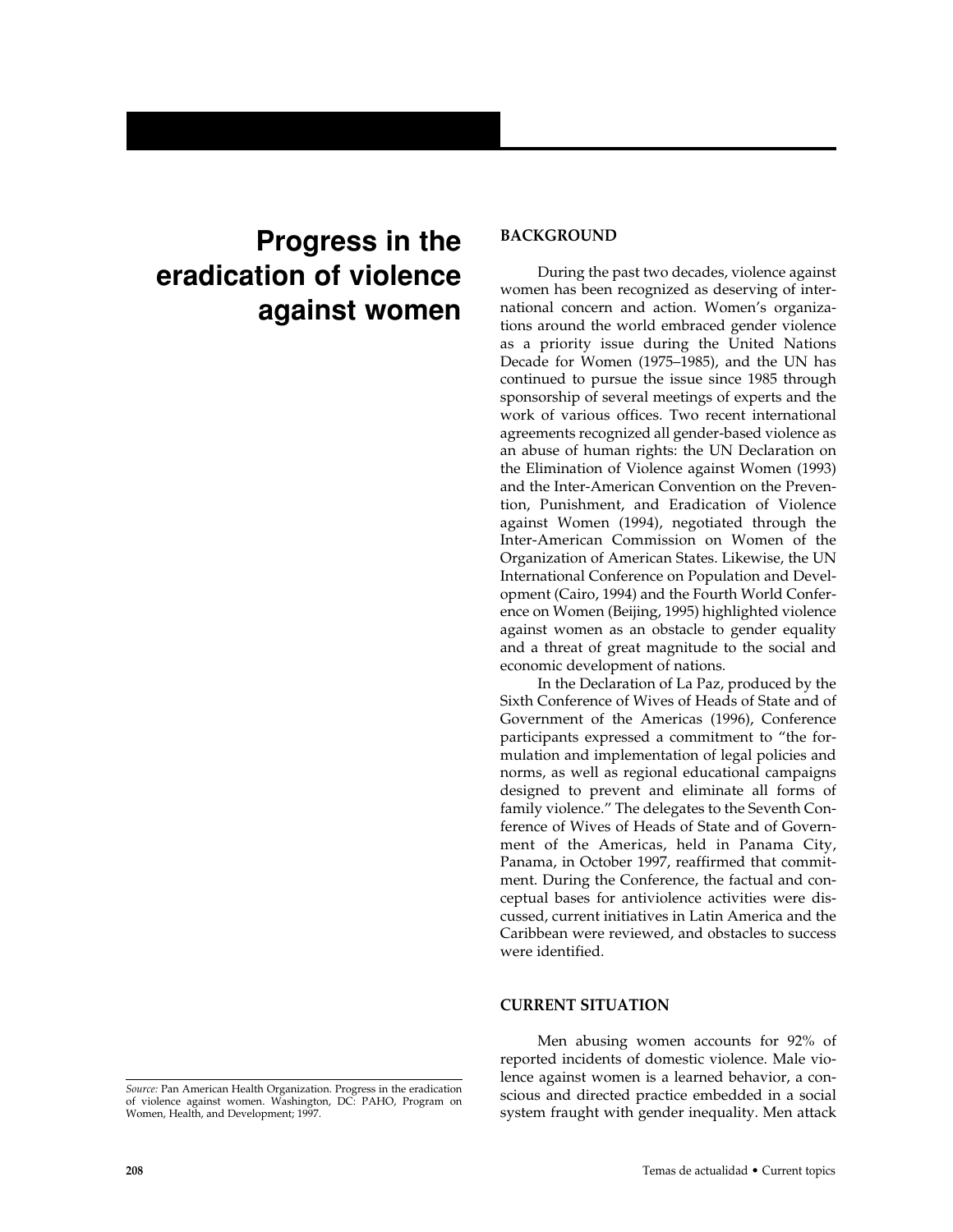# **Progress in the eradication of violence against women**

# **BACKGROUND**

During the past two decades, violence against women has been recognized as deserving of international concern and action. Women's organizations around the world embraced gender violence as a priority issue during the United Nations Decade for Women (1975–1985), and the UN has continued to pursue the issue since 1985 through sponsorship of several meetings of experts and the work of various offices. Two recent international agreements recognized all gender-based violence as an abuse of human rights: the UN Declaration on the Elimination of Violence against Women (1993) and the Inter-American Convention on the Prevention, Punishment, and Eradication of Violence against Women (1994), negotiated through the Inter-American Commission on Women of the Organization of American States. Likewise, the UN International Conference on Population and Development (Cairo, 1994) and the Fourth World Conference on Women (Beijing, 1995) highlighted violence against women as an obstacle to gender equality and a threat of great magnitude to the social and economic development of nations.

In the Declaration of La Paz, produced by the Sixth Conference of Wives of Heads of State and of Government of the Americas (1996), Conference participants expressed a commitment to "the formulation and implementation of legal policies and norms, as well as regional educational campaigns designed to prevent and eliminate all forms of family violence." The delegates to the Seventh Conference of Wives of Heads of State and of Government of the Americas, held in Panama City, Panama, in October 1997, reaffirmed that commitment. During the Conference, the factual and conceptual bases for antiviolence activities were discussed, current initiatives in Latin America and the Caribbean were reviewed, and obstacles to success were identified.

### **CURRENT SITUATION**

Men abusing women accounts for 92% of reported incidents of domestic violence. Male violence against women is a learned behavior, a conscious and directed practice embedded in a social system fraught with gender inequality. Men attack

*Source:* Pan American Health Organization. Progress in the eradication of violence against women. Washington, DC: PAHO, Program on Women, Health, and Development; 1997.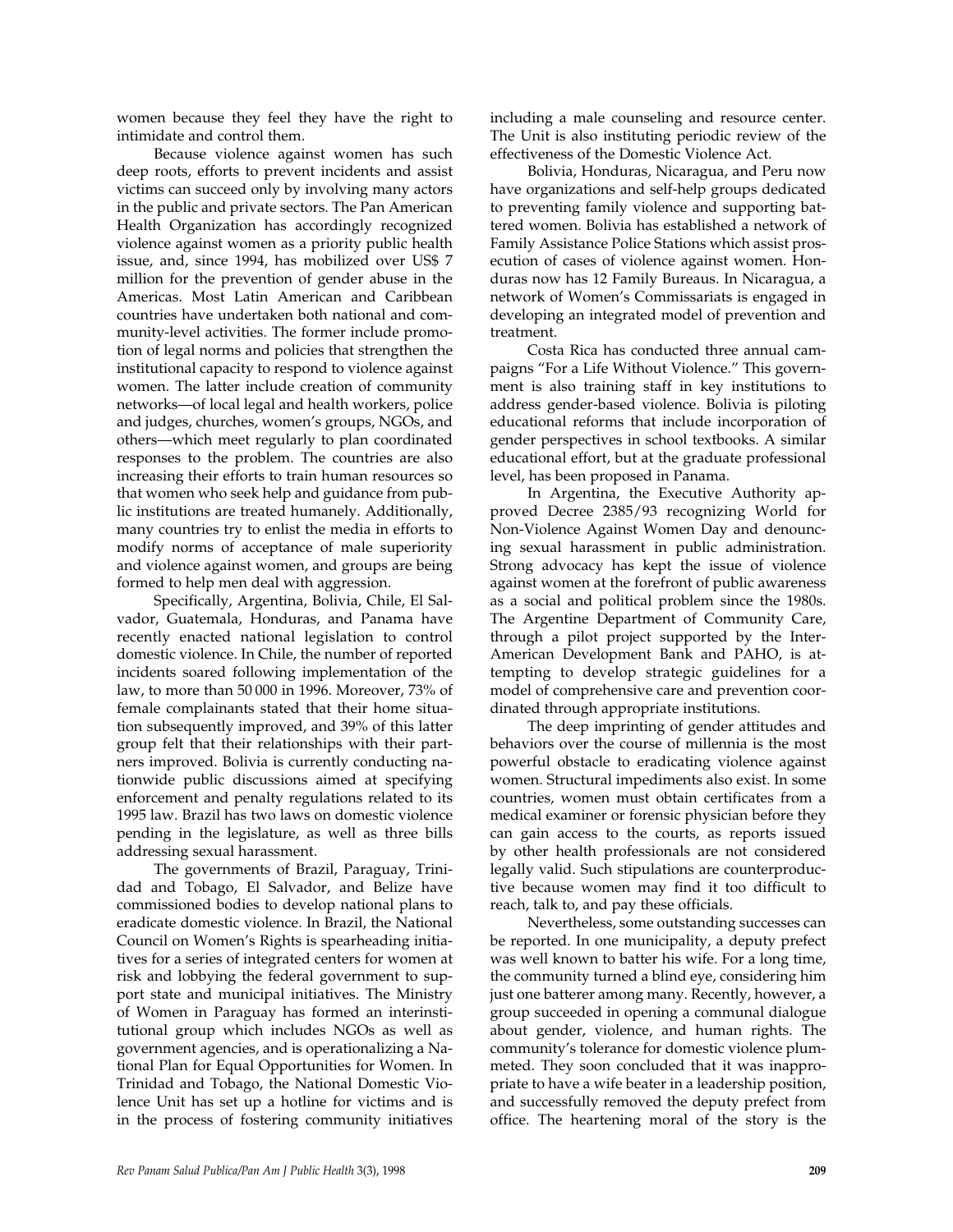women because they feel they have the right to intimidate and control them.

Because violence against women has such deep roots, efforts to prevent incidents and assist victims can succeed only by involving many actors in the public and private sectors. The Pan American Health Organization has accordingly recognized violence against women as a priority public health issue, and, since 1994, has mobilized over US\$ 7 million for the prevention of gender abuse in the Americas. Most Latin American and Caribbean countries have undertaken both national and community-level activities. The former include promotion of legal norms and policies that strengthen the institutional capacity to respond to violence against women. The latter include creation of community networks—of local legal and health workers, police and judges, churches, women's groups, NGOs, and others—which meet regularly to plan coordinated responses to the problem. The countries are also increasing their efforts to train human resources so that women who seek help and guidance from public institutions are treated humanely. Additionally, many countries try to enlist the media in efforts to modify norms of acceptance of male superiority and violence against women, and groups are being formed to help men deal with aggression.

Specifically, Argentina, Bolivia, Chile, El Salvador, Guatemala, Honduras, and Panama have recently enacted national legislation to control domestic violence. In Chile, the number of reported incidents soared following implementation of the law, to more than 50 000 in 1996. Moreover, 73% of female complainants stated that their home situation subsequently improved, and 39% of this latter group felt that their relationships with their partners improved. Bolivia is currently conducting nationwide public discussions aimed at specifying enforcement and penalty regulations related to its 1995 law. Brazil has two laws on domestic violence pending in the legislature, as well as three bills addressing sexual harassment.

The governments of Brazil, Paraguay, Trinidad and Tobago, El Salvador, and Belize have commissioned bodies to develop national plans to eradicate domestic violence. In Brazil, the National Council on Women's Rights is spearheading initiatives for a series of integrated centers for women at risk and lobbying the federal government to support state and municipal initiatives. The Ministry of Women in Paraguay has formed an interinstitutional group which includes NGOs as well as government agencies, and is operationalizing a National Plan for Equal Opportunities for Women. In Trinidad and Tobago, the National Domestic Violence Unit has set up a hotline for victims and is in the process of fostering community initiatives

including a male counseling and resource center. The Unit is also instituting periodic review of the effectiveness of the Domestic Violence Act.

Bolivia, Honduras, Nicaragua, and Peru now have organizations and self-help groups dedicated to preventing family violence and supporting battered women. Bolivia has established a network of Family Assistance Police Stations which assist prosecution of cases of violence against women. Honduras now has 12 Family Bureaus. In Nicaragua, a network of Women's Commissariats is engaged in developing an integrated model of prevention and treatment.

Costa Rica has conducted three annual campaigns "For a Life Without Violence." This government is also training staff in key institutions to address gender-based violence. Bolivia is piloting educational reforms that include incorporation of gender perspectives in school textbooks. A similar educational effort, but at the graduate professional level, has been proposed in Panama.

In Argentina, the Executive Authority approved Decree 2385/93 recognizing World for Non-Violence Against Women Day and denouncing sexual harassment in public administration. Strong advocacy has kept the issue of violence against women at the forefront of public awareness as a social and political problem since the 1980s. The Argentine Department of Community Care, through a pilot project supported by the Inter-American Development Bank and PAHO, is attempting to develop strategic guidelines for a model of comprehensive care and prevention coordinated through appropriate institutions.

The deep imprinting of gender attitudes and behaviors over the course of millennia is the most powerful obstacle to eradicating violence against women. Structural impediments also exist. In some countries, women must obtain certificates from a medical examiner or forensic physician before they can gain access to the courts, as reports issued by other health professionals are not considered legally valid. Such stipulations are counterproductive because women may find it too difficult to reach, talk to, and pay these officials.

Nevertheless, some outstanding successes can be reported. In one municipality, a deputy prefect was well known to batter his wife. For a long time, the community turned a blind eye, considering him just one batterer among many. Recently, however, a group succeeded in opening a communal dialogue about gender, violence, and human rights. The community's tolerance for domestic violence plummeted. They soon concluded that it was inappropriate to have a wife beater in a leadership position, and successfully removed the deputy prefect from office. The heartening moral of the story is the